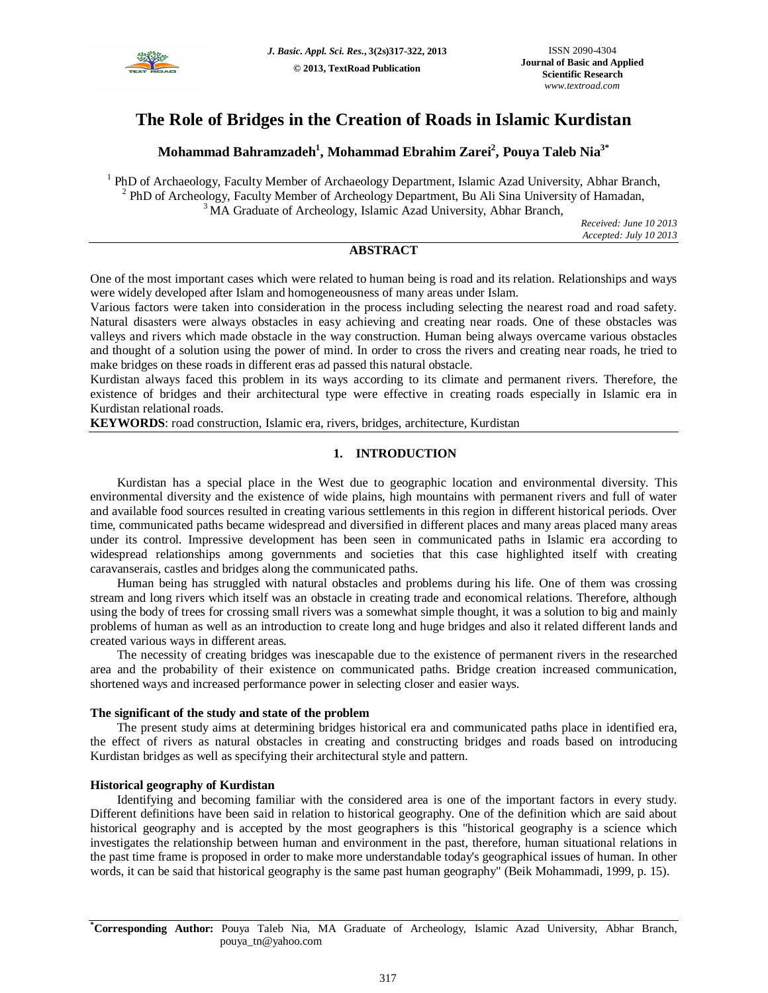

# **The Role of Bridges in the Creation of Roads in Islamic Kurdistan**

**Mohammad Bahramzadeh<sup>1</sup> , Mohammad Ebrahim Zarei<sup>2</sup> , Pouya Taleb Nia3\***

<sup>1</sup> PhD of Archaeology, Faculty Member of Archaeology Department, Islamic Azad University, Abhar Branch, <sup>2</sup> PhD of Archeology, Faculty Member of Archeology Department, Bu Ali Sina University of Hamadan, <sup>3</sup> MA Graduate of Archeology, Islamic Azad University, Abhar Branch,

*Received: June 10 2013 Accepted: July 10 2013*

# **ABSTRACT**

One of the most important cases which were related to human being is road and its relation. Relationships and ways were widely developed after Islam and homogeneousness of many areas under Islam.

Various factors were taken into consideration in the process including selecting the nearest road and road safety. Natural disasters were always obstacles in easy achieving and creating near roads. One of these obstacles was valleys and rivers which made obstacle in the way construction. Human being always overcame various obstacles and thought of a solution using the power of mind. In order to cross the rivers and creating near roads, he tried to make bridges on these roads in different eras ad passed this natural obstacle.

Kurdistan always faced this problem in its ways according to its climate and permanent rivers. Therefore, the existence of bridges and their architectural type were effective in creating roads especially in Islamic era in Kurdistan relational roads.

**KEYWORDS**: road construction, Islamic era, rivers, bridges, architecture, Kurdistan

# **1. INTRODUCTION**

Kurdistan has a special place in the West due to geographic location and environmental diversity. This environmental diversity and the existence of wide plains, high mountains with permanent rivers and full of water and available food sources resulted in creating various settlements in this region in different historical periods. Over time, communicated paths became widespread and diversified in different places and many areas placed many areas under its control. Impressive development has been seen in communicated paths in Islamic era according to widespread relationships among governments and societies that this case highlighted itself with creating caravanserais, castles and bridges along the communicated paths.

Human being has struggled with natural obstacles and problems during his life. One of them was crossing stream and long rivers which itself was an obstacle in creating trade and economical relations. Therefore, although using the body of trees for crossing small rivers was a somewhat simple thought, it was a solution to big and mainly problems of human as well as an introduction to create long and huge bridges and also it related different lands and created various ways in different areas.

The necessity of creating bridges was inescapable due to the existence of permanent rivers in the researched area and the probability of their existence on communicated paths. Bridge creation increased communication, shortened ways and increased performance power in selecting closer and easier ways.

## **The significant of the study and state of the problem**

The present study aims at determining bridges historical era and communicated paths place in identified era, the effect of rivers as natural obstacles in creating and constructing bridges and roads based on introducing Kurdistan bridges as well as specifying their architectural style and pattern.

## **Historical geography of Kurdistan**

Identifying and becoming familiar with the considered area is one of the important factors in every study. Different definitions have been said in relation to historical geography. One of the definition which are said about historical geography and is accepted by the most geographers is this "historical geography is a science which investigates the relationship between human and environment in the past, therefore, human situational relations in the past time frame is proposed in order to make more understandable today's geographical issues of human. In other words, it can be said that historical geography is the same past human geography" (Beik Mohammadi, 1999, p. 15).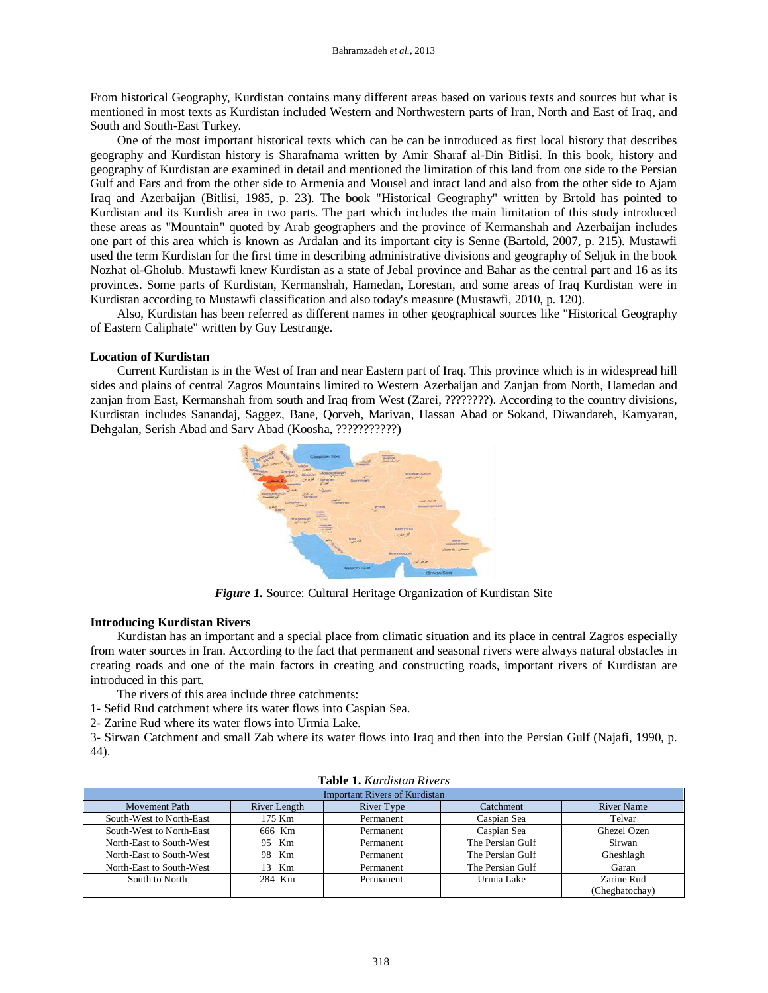From historical Geography, Kurdistan contains many different areas based on various texts and sources but what is mentioned in most texts as Kurdistan included Western and Northwestern parts of Iran, North and East of Iraq, and South and South-East Turkey.

One of the most important historical texts which can be can be introduced as first local history that describes geography and Kurdistan history is Sharafnama written by Amir Sharaf al-Din Bitlisi. In this book, history and geography of Kurdistan are examined in detail and mentioned the limitation of this land from one side to the Persian Gulf and Fars and from the other side to Armenia and Mousel and intact land and also from the other side to Ajam Iraq and Azerbaijan (Bitlisi, 1985, p. 23). The book "Historical Geography" written by Brtold has pointed to Kurdistan and its Kurdish area in two parts. The part which includes the main limitation of this study introduced these areas as "Mountain" quoted by Arab geographers and the province of Kermanshah and Azerbaijan includes one part of this area which is known as Ardalan and its important city is Senne (Bartold, 2007, p. 215). Mustawfi used the term Kurdistan for the first time in describing administrative divisions and geography of Seljuk in the book Nozhat ol-Gholub. Mustawfi knew Kurdistan as a state of Jebal province and Bahar as the central part and 16 as its provinces. Some parts of Kurdistan, Kermanshah, Hamedan, Lorestan, and some areas of Iraq Kurdistan were in Kurdistan according to Mustawfi classification and also today's measure (Mustawfi, 2010, p. 120).

Also, Kurdistan has been referred as different names in other geographical sources like "Historical Geography of Eastern Caliphate" written by Guy Lestrange.

### **Location of Kurdistan**

Current Kurdistan is in the West of Iran and near Eastern part of Iraq. This province which is in widespread hill sides and plains of central Zagros Mountains limited to Western Azerbaijan and Zanjan from North, Hamedan and zanjan from East, Kermanshah from south and Iraq from West (Zarei, ????????). According to the country divisions, Kurdistan includes Sanandaj, Saggez, Bane, Qorveh, Marivan, Hassan Abad or Sokand, Diwandareh, Kamyaran, Dehgalan, Serish Abad and Sarv Abad (Koosha, ???????????)



*Figure 1.* Source: Cultural Heritage Organization of Kurdistan Site

## **Introducing Kurdistan Rivers**

Kurdistan has an important and a special place from climatic situation and its place in central Zagros especially from water sources in Iran. According to the fact that permanent and seasonal rivers were always natural obstacles in creating roads and one of the main factors in creating and constructing roads, important rivers of Kurdistan are introduced in this part.

The rivers of this area include three catchments:

- 1- Sefid Rud catchment where its water flows into Caspian Sea.
- 2- Zarine Rud where its water flows into Urmia Lake.

3- Sirwan Catchment and small Zab where its water flows into Iraq and then into the Persian Gulf (Najafi, 1990, p. 44).

| <b>Table 1.</b> Kurdistan Kivers     |              |            |                  |                   |  |  |  |  |  |  |  |
|--------------------------------------|--------------|------------|------------------|-------------------|--|--|--|--|--|--|--|
| <b>Important Rivers of Kurdistan</b> |              |            |                  |                   |  |  |  |  |  |  |  |
| Movement Path                        | River Length | River Type | Catchment        | <b>River Name</b> |  |  |  |  |  |  |  |
| South-West to North-East             | 175 Km       | Permanent  | Caspian Sea      | Telvar            |  |  |  |  |  |  |  |
| South-West to North-East             | 666 Km       | Permanent  | Caspian Sea      | Ghezel Ozen       |  |  |  |  |  |  |  |
| North-East to South-West             | 95 Km        | Permanent  | The Persian Gulf | Sirwan            |  |  |  |  |  |  |  |
| North-East to South-West             | 98 Km        | Permanent  | The Persian Gulf | Gheshlagh         |  |  |  |  |  |  |  |
| North-East to South-West             | 13 Km        | Permanent  | The Persian Gulf | Garan             |  |  |  |  |  |  |  |
| South to North                       | 284 Km       | Permanent  | Urmia Lake       | Zarine Rud        |  |  |  |  |  |  |  |
|                                      |              |            |                  | (Cheghatochay)    |  |  |  |  |  |  |  |

## **Table 1.** *Kurdistan Rivers*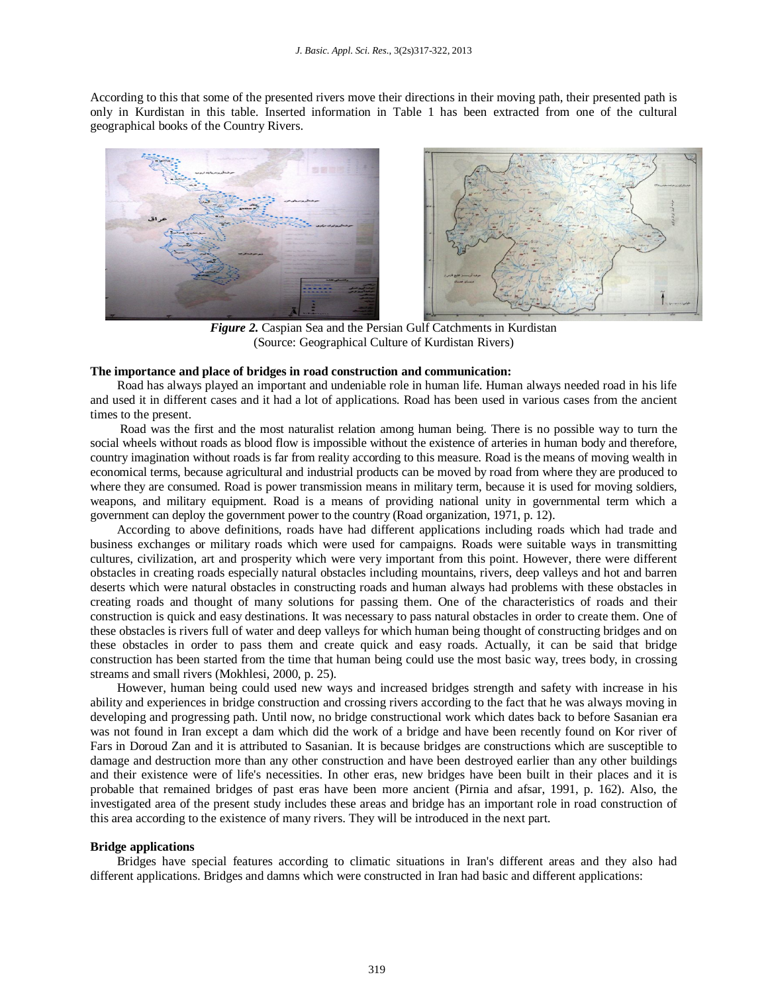According to this that some of the presented rivers move their directions in their moving path, their presented path is only in Kurdistan in this table. Inserted information in Table 1 has been extracted from one of the cultural geographical books of the Country Rivers.



*Figure 2.* Caspian Sea and the Persian Gulf Catchments in Kurdistan (Source: Geographical Culture of Kurdistan Rivers)

#### **The importance and place of bridges in road construction and communication:**

Road has always played an important and undeniable role in human life. Human always needed road in his life and used it in different cases and it had a lot of applications. Road has been used in various cases from the ancient times to the present.

Road was the first and the most naturalist relation among human being. There is no possible way to turn the social wheels without roads as blood flow is impossible without the existence of arteries in human body and therefore, country imagination without roads is far from reality according to this measure. Road is the means of moving wealth in economical terms, because agricultural and industrial products can be moved by road from where they are produced to where they are consumed. Road is power transmission means in military term, because it is used for moving soldiers, weapons, and military equipment. Road is a means of providing national unity in governmental term which a government can deploy the government power to the country (Road organization, 1971, p. 12).

According to above definitions, roads have had different applications including roads which had trade and business exchanges or military roads which were used for campaigns. Roads were suitable ways in transmitting cultures, civilization, art and prosperity which were very important from this point. However, there were different obstacles in creating roads especially natural obstacles including mountains, rivers, deep valleys and hot and barren deserts which were natural obstacles in constructing roads and human always had problems with these obstacles in creating roads and thought of many solutions for passing them. One of the characteristics of roads and their construction is quick and easy destinations. It was necessary to pass natural obstacles in order to create them. One of these obstacles is rivers full of water and deep valleys for which human being thought of constructing bridges and on these obstacles in order to pass them and create quick and easy roads. Actually, it can be said that bridge construction has been started from the time that human being could use the most basic way, trees body, in crossing streams and small rivers (Mokhlesi, 2000, p. 25).

However, human being could used new ways and increased bridges strength and safety with increase in his ability and experiences in bridge construction and crossing rivers according to the fact that he was always moving in developing and progressing path. Until now, no bridge constructional work which dates back to before Sasanian era was not found in Iran except a dam which did the work of a bridge and have been recently found on Kor river of Fars in Doroud Zan and it is attributed to Sasanian. It is because bridges are constructions which are susceptible to damage and destruction more than any other construction and have been destroyed earlier than any other buildings and their existence were of life's necessities. In other eras, new bridges have been built in their places and it is probable that remained bridges of past eras have been more ancient (Pirnia and afsar, 1991, p. 162). Also, the investigated area of the present study includes these areas and bridge has an important role in road construction of this area according to the existence of many rivers. They will be introduced in the next part.

#### **Bridge applications**

Bridges have special features according to climatic situations in Iran's different areas and they also had different applications. Bridges and damns which were constructed in Iran had basic and different applications: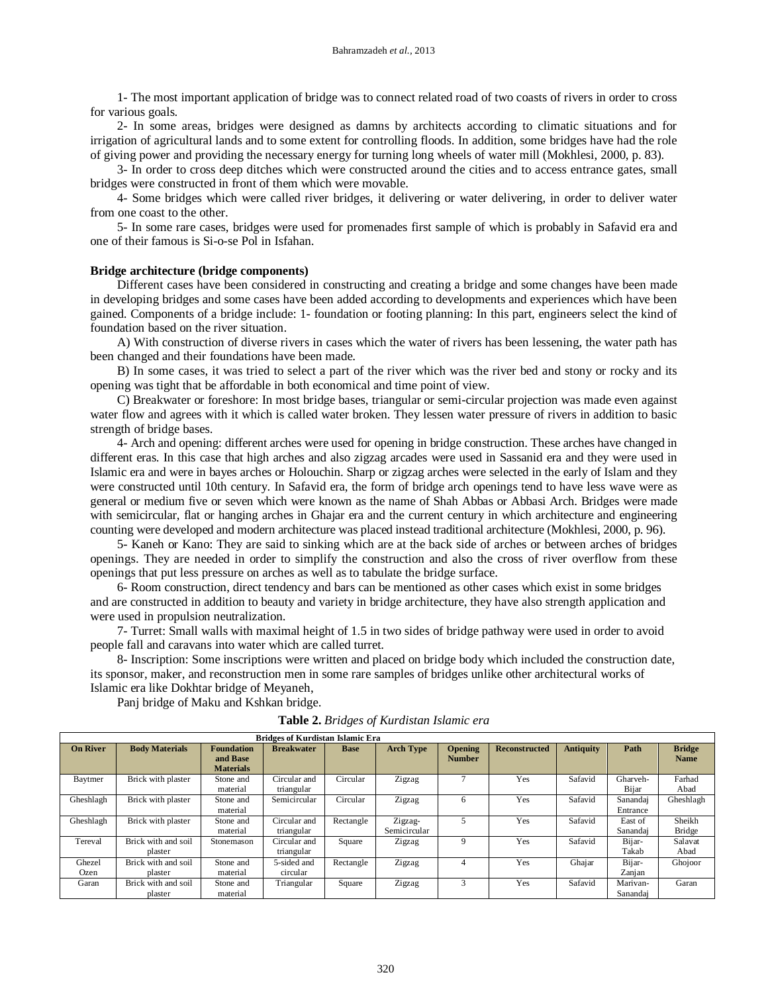1- The most important application of bridge was to connect related road of two coasts of rivers in order to cross for various goals.

2- In some areas, bridges were designed as damns by architects according to climatic situations and for irrigation of agricultural lands and to some extent for controlling floods. In addition, some bridges have had the role of giving power and providing the necessary energy for turning long wheels of water mill (Mokhlesi, 2000, p. 83).

3- In order to cross deep ditches which were constructed around the cities and to access entrance gates, small bridges were constructed in front of them which were movable.

4- Some bridges which were called river bridges, it delivering or water delivering, in order to deliver water from one coast to the other.

5- In some rare cases, bridges were used for promenades first sample of which is probably in Safavid era and one of their famous is Si-o-se Pol in Isfahan.

#### **Bridge architecture (bridge components)**

Different cases have been considered in constructing and creating a bridge and some changes have been made in developing bridges and some cases have been added according to developments and experiences which have been gained. Components of a bridge include: 1- foundation or footing planning: In this part, engineers select the kind of foundation based on the river situation.

A) With construction of diverse rivers in cases which the water of rivers has been lessening, the water path has been changed and their foundations have been made.

B) In some cases, it was tried to select a part of the river which was the river bed and stony or rocky and its opening was tight that be affordable in both economical and time point of view.

C) Breakwater or foreshore: In most bridge bases, triangular or semi-circular projection was made even against water flow and agrees with it which is called water broken. They lessen water pressure of rivers in addition to basic strength of bridge bases.

4- Arch and opening: different arches were used for opening in bridge construction. These arches have changed in different eras. In this case that high arches and also zigzag arcades were used in Sassanid era and they were used in Islamic era and were in bayes arches or Holouchin. Sharp or zigzag arches were selected in the early of Islam and they were constructed until 10th century. In Safavid era, the form of bridge arch openings tend to have less wave were as general or medium five or seven which were known as the name of Shah Abbas or Abbasi Arch. Bridges were made with semicircular, flat or hanging arches in Ghajar era and the current century in which architecture and engineering counting were developed and modern architecture was placed instead traditional architecture (Mokhlesi, 2000, p. 96).

5- Kaneh or Kano: They are said to sinking which are at the back side of arches or between arches of bridges openings. They are needed in order to simplify the construction and also the cross of river overflow from these openings that put less pressure on arches as well as to tabulate the bridge surface.

6- Room construction, direct tendency and bars can be mentioned as other cases which exist in some bridges and are constructed in addition to beauty and variety in bridge architecture, they have also strength application and were used in propulsion neutralization.

7- Turret: Small walls with maximal height of 1.5 in two sides of bridge pathway were used in order to avoid people fall and caravans into water which are called turret.

8- Inscription: Some inscriptions were written and placed on bridge body which included the construction date, its sponsor, maker, and reconstruction men in some rare samples of bridges unlike other architectural works of Islamic era like Dokhtar bridge of Meyaneh,

Panj bridge of Maku and Kshkan bridge.

**Table 2.** *Bridges of Kurdistan Islamic era*

| <b>Bridges of Kurdistan Islamic Era</b> |                                |                                                   |                            |             |                         |                                 |                      |                  |                      |                              |  |  |
|-----------------------------------------|--------------------------------|---------------------------------------------------|----------------------------|-------------|-------------------------|---------------------------------|----------------------|------------------|----------------------|------------------------------|--|--|
| <b>On River</b>                         | <b>Body Materials</b>          | <b>Foundation</b><br>and Base<br><b>Materials</b> | <b>Breakwater</b>          | <b>Base</b> | <b>Arch Type</b>        | <b>Opening</b><br><b>Number</b> | <b>Reconstructed</b> | <b>Antiquity</b> | Path                 | <b>Bridge</b><br><b>Name</b> |  |  |
| Baytmer                                 | Brick with plaster             | Stone and<br>material                             | Circular and<br>triangular | Circular    | Zigzag                  |                                 | Yes                  | Safavid          | Gharveh-<br>Bijar    | Farhad<br>Abad               |  |  |
| Gheshlagh                               | Brick with plaster             | Stone and<br>material                             | Semicircular               | Circular    | Zigzag                  | 6                               | Yes                  | Safavid          | Sanandaj<br>Entrance | Gheshlagh                    |  |  |
| Gheshlagh                               | Brick with plaster             | Stone and<br>material                             | Circular and<br>triangular | Rectangle   | Zigzag-<br>Semicircular |                                 | Yes                  | Safavid          | East of<br>Sanandaj  | Sheikh<br><b>Bridge</b>      |  |  |
| Tereval                                 | Brick with and soil<br>plaster | Stonemason                                        | Circular and<br>triangular | Square      | Zigzag                  | 9                               | Yes                  | Safavid          | Bijar-<br>Takab      | Salavat<br>Abad              |  |  |
| Ghezel<br>Ozen                          | Brick with and soil<br>plaster | Stone and<br>material                             | 5-sided and<br>circular    | Rectangle   | Zigzag                  | 4                               | Yes                  | Ghajar           | Bijar-<br>Zanjan     | Ghojoor                      |  |  |
| Garan                                   | Brick with and soil<br>plaster | Stone and<br>material                             | Triangular                 | Square      | Zigzag                  | 3                               | Yes                  | Safavid          | Marivan-<br>Sanandai | Garan                        |  |  |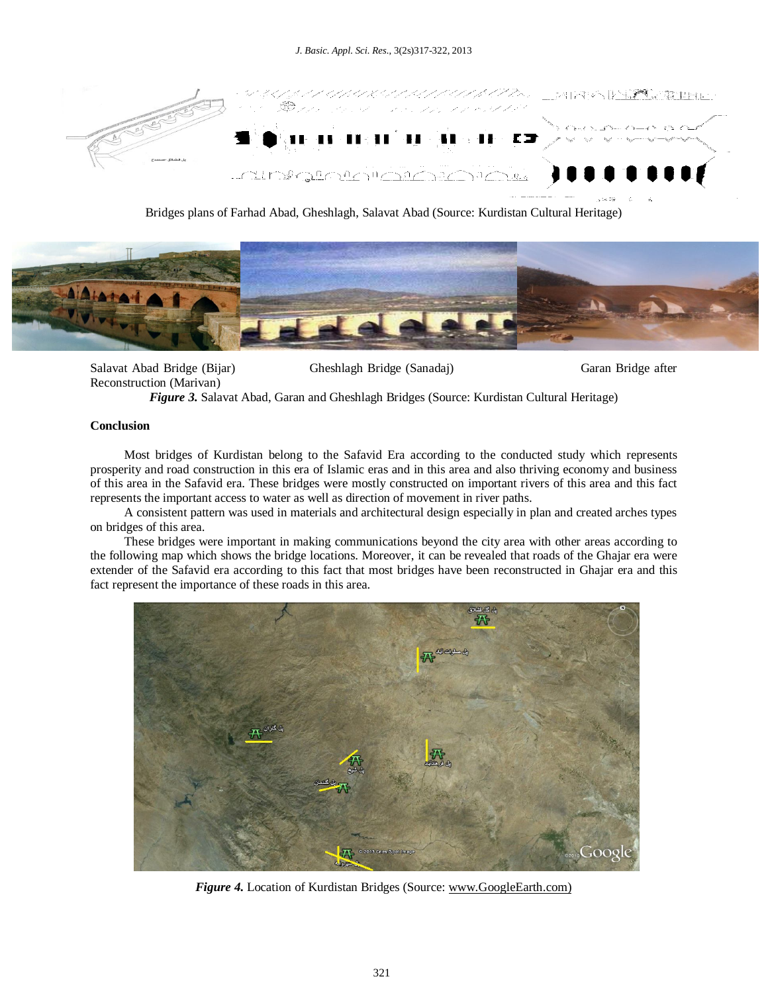

Bridges plans of Farhad Abad, Gheshlagh, Salavat Abad (Source: Kurdistan Cultural Heritage)



Salavat Abad Bridge (Bijar) Gheshlagh Bridge (Sanadaj) Garan Bridge after Reconstruction (Marivan)

*Figure 3.* Salavat Abad, Garan and Gheshlagh Bridges (Source: Kurdistan Cultural Heritage)

#### **Conclusion**

Most bridges of Kurdistan belong to the Safavid Era according to the conducted study which represents prosperity and road construction in this era of Islamic eras and in this area and also thriving economy and business of this area in the Safavid era. These bridges were mostly constructed on important rivers of this area and this fact represents the important access to water as well as direction of movement in river paths.

A consistent pattern was used in materials and architectural design especially in plan and created arches types on bridges of this area.

These bridges were important in making communications beyond the city area with other areas according to the following map which shows the bridge locations. Moreover, it can be revealed that roads of the Ghajar era were extender of the Safavid era according to this fact that most bridges have been reconstructed in Ghajar era and this fact represent the importance of these roads in this area.



*Figure 4.* Location of Kurdistan Bridges (Source: www.GoogleEarth.com)